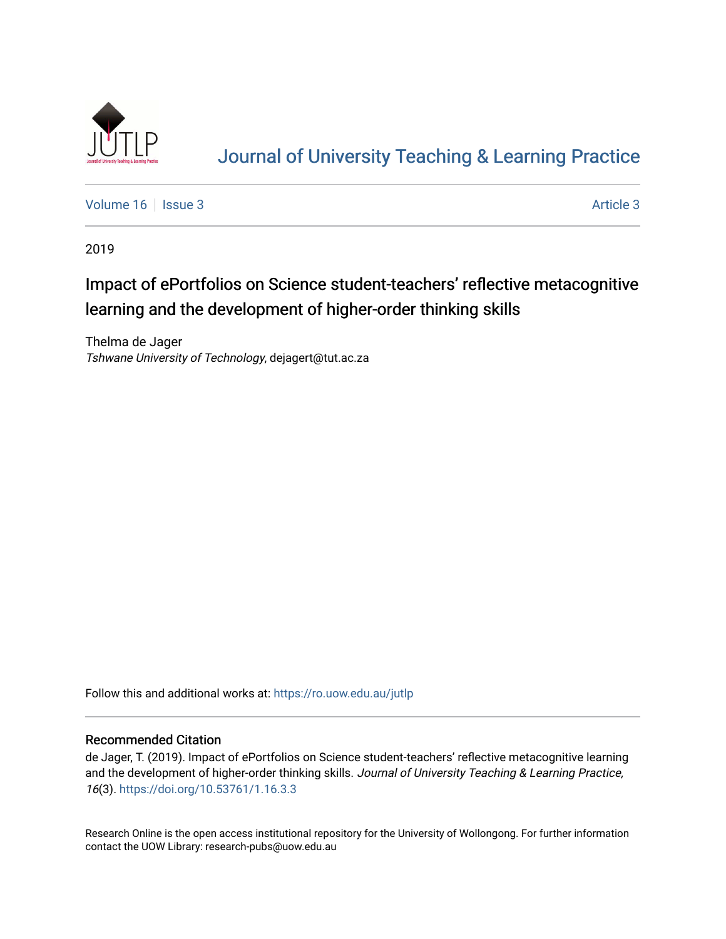

# [Journal of University Teaching & Learning Practice](https://ro.uow.edu.au/jutlp)

[Volume 16](https://ro.uow.edu.au/jutlp/vol16) | [Issue 3](https://ro.uow.edu.au/jutlp/vol16/iss3) Article 3

2019

# Impact of ePortfolios on Science student-teachers' reflective metacognitive learning and the development of higher-order thinking skills

Thelma de Jager Tshwane University of Technology, dejagert@tut.ac.za

Follow this and additional works at: [https://ro.uow.edu.au/jutlp](https://ro.uow.edu.au/jutlp?utm_source=ro.uow.edu.au%2Fjutlp%2Fvol16%2Fiss3%2F3&utm_medium=PDF&utm_campaign=PDFCoverPages) 

#### Recommended Citation

de Jager, T. (2019). Impact of ePortfolios on Science student-teachers' reflective metacognitive learning and the development of higher-order thinking skills. Journal of University Teaching & Learning Practice, 16(3). <https://doi.org/10.53761/1.16.3.3>

Research Online is the open access institutional repository for the University of Wollongong. For further information contact the UOW Library: research-pubs@uow.edu.au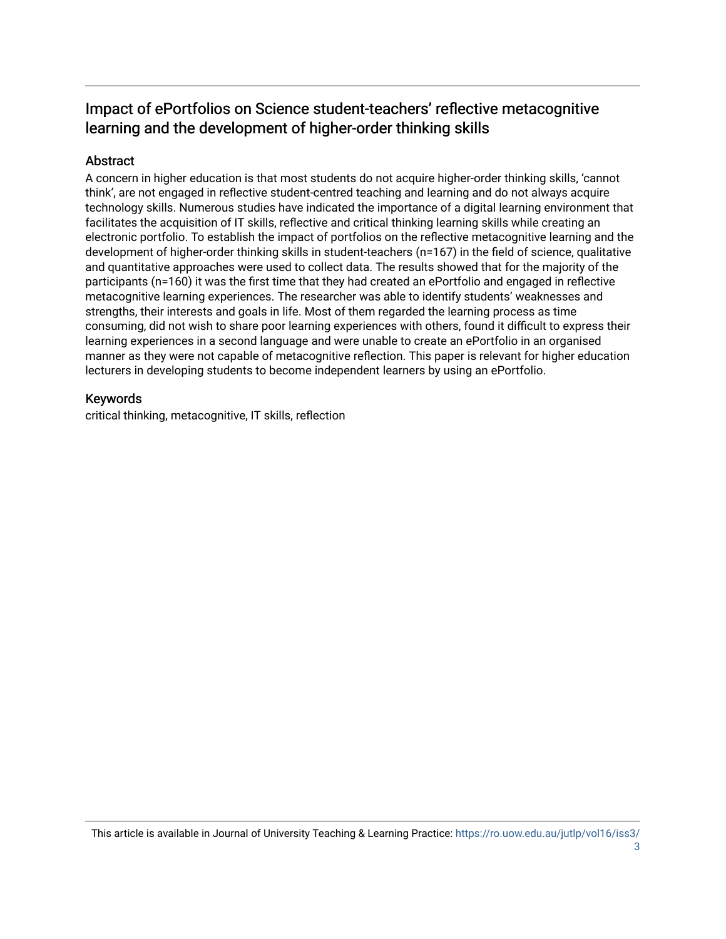# Impact of ePortfolios on Science student-teachers' reflective metacognitive learning and the development of higher-order thinking skills

## Abstract

A concern in higher education is that most students do not acquire higher-order thinking skills, 'cannot think', are not engaged in reflective student-centred teaching and learning and do not always acquire technology skills. Numerous studies have indicated the importance of a digital learning environment that facilitates the acquisition of IT skills, reflective and critical thinking learning skills while creating an electronic portfolio. To establish the impact of portfolios on the reflective metacognitive learning and the development of higher-order thinking skills in student-teachers (n=167) in the field of science, qualitative and quantitative approaches were used to collect data. The results showed that for the majority of the participants (n=160) it was the first time that they had created an ePortfolio and engaged in reflective metacognitive learning experiences. The researcher was able to identify students' weaknesses and strengths, their interests and goals in life. Most of them regarded the learning process as time consuming, did not wish to share poor learning experiences with others, found it difficult to express their learning experiences in a second language and were unable to create an ePortfolio in an organised manner as they were not capable of metacognitive reflection. This paper is relevant for higher education lecturers in developing students to become independent learners by using an ePortfolio.

### Keywords

critical thinking, metacognitive, IT skills, reflection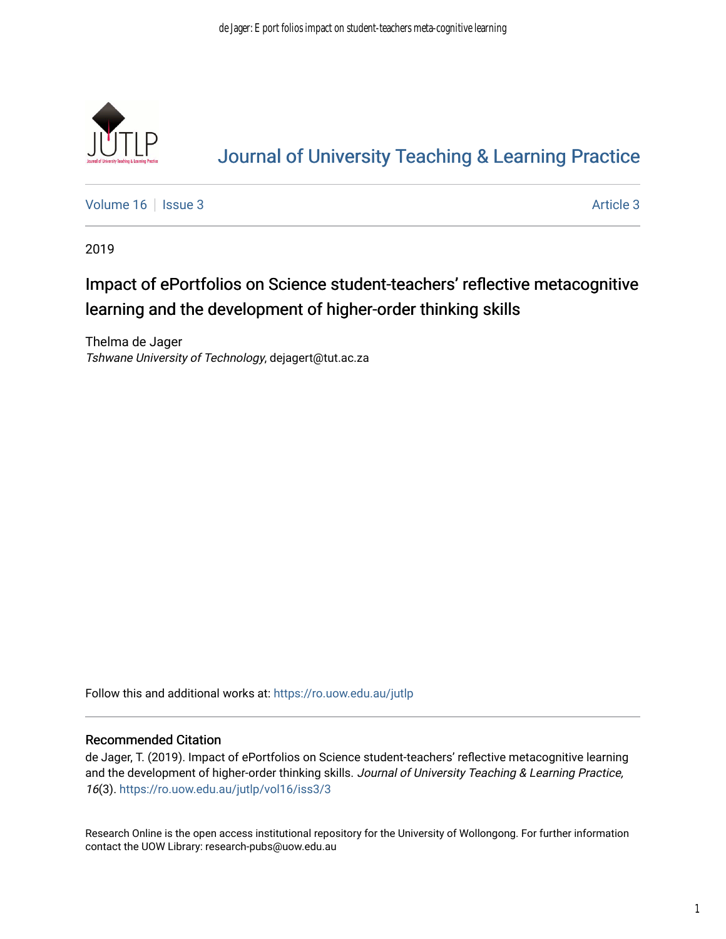

# [Journal of University Teaching & Learning Practice](https://ro.uow.edu.au/jutlp)

[Volume 16](https://ro.uow.edu.au/jutlp/vol16) | [Issue 3](https://ro.uow.edu.au/jutlp/vol16/iss3) Article 3

2019

# Impact of ePortfolios on Science student-teachers' reflective metacognitive learning and the development of higher-order thinking skills

Thelma de Jager Tshwane University of Technology, dejagert@tut.ac.za

Follow this and additional works at: [https://ro.uow.edu.au/jutlp](https://ro.uow.edu.au/jutlp?utm_source=ro.uow.edu.au%2Fjutlp%2Fvol16%2Fiss3%2F3&utm_medium=PDF&utm_campaign=PDFCoverPages) 

#### Recommended Citation

de Jager, T. (2019). Impact of ePortfolios on Science student-teachers' reflective metacognitive learning and the development of higher-order thinking skills. Journal of University Teaching & Learning Practice, 16(3). [https://ro.uow.edu.au/jutlp/vol16/iss3/3](https://ro.uow.edu.au/jutlp/vol16/iss3/3?utm_source=ro.uow.edu.au%2Fjutlp%2Fvol16%2Fiss3%2F3&utm_medium=PDF&utm_campaign=PDFCoverPages)

Research Online is the open access institutional repository for the University of Wollongong. For further information contact the UOW Library: research-pubs@uow.edu.au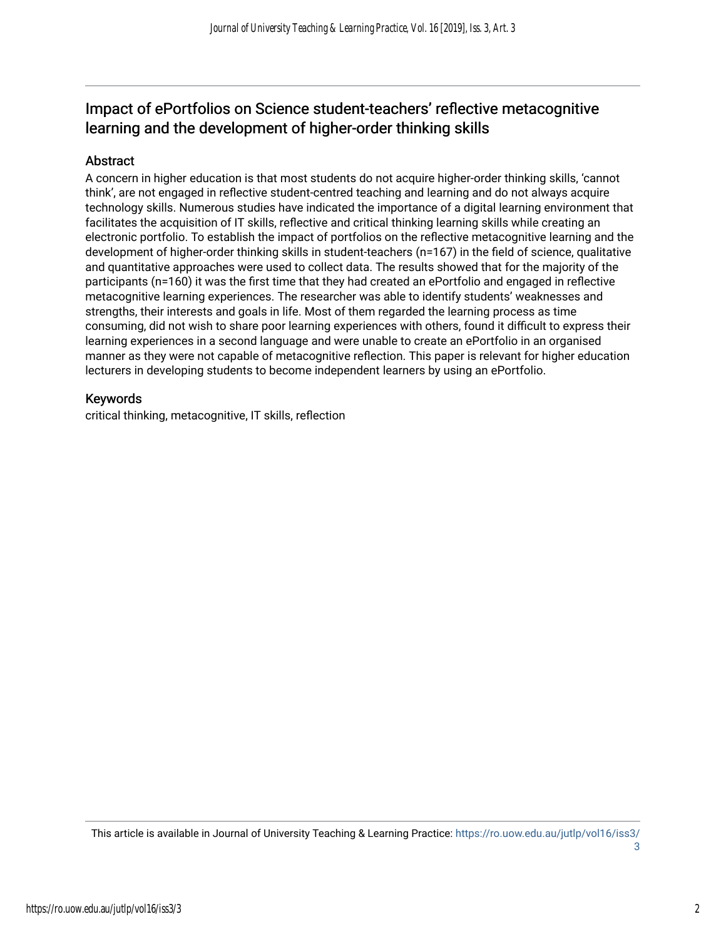# Impact of ePortfolios on Science student-teachers' reflective metacognitive learning and the development of higher-order thinking skills

### **Abstract**

A concern in higher education is that most students do not acquire higher-order thinking skills, 'cannot think', are not engaged in reflective student-centred teaching and learning and do not always acquire technology skills. Numerous studies have indicated the importance of a digital learning environment that facilitates the acquisition of IT skills, reflective and critical thinking learning skills while creating an electronic portfolio. To establish the impact of portfolios on the reflective metacognitive learning and the development of higher-order thinking skills in student-teachers (n=167) in the field of science, qualitative and quantitative approaches were used to collect data. The results showed that for the majority of the participants (n=160) it was the first time that they had created an ePortfolio and engaged in reflective metacognitive learning experiences. The researcher was able to identify students' weaknesses and strengths, their interests and goals in life. Most of them regarded the learning process as time consuming, did not wish to share poor learning experiences with others, found it difficult to express their learning experiences in a second language and were unable to create an ePortfolio in an organised manner as they were not capable of metacognitive reflection. This paper is relevant for higher education lecturers in developing students to become independent learners by using an ePortfolio.

### Keywords

critical thinking, metacognitive, IT skills, reflection

This article is available in Journal of University Teaching & Learning Practice: [https://ro.uow.edu.au/jutlp/vol16/iss3/](https://ro.uow.edu.au/jutlp/vol16/iss3/3) [3](https://ro.uow.edu.au/jutlp/vol16/iss3/3)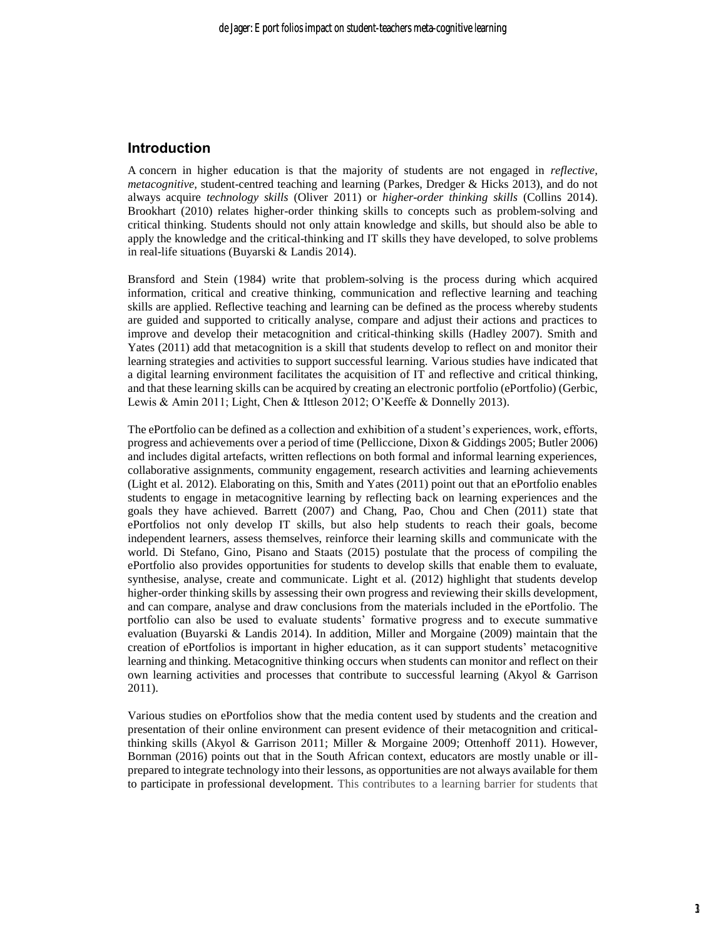#### **Introduction**

concern in higher education is that the majority of students are not engaged in *reflective,*  A *metacognitive,* student-centred teaching and learning (Parkes, Dredger & Hicks 2013), and do not always acquire *technology skills* (Oliver 2011) or *higher*-*order thinking skills* (Collins 2014). Brookhart (2010) relates higher-order thinking skills to concepts such as problem-solving and critical thinking. Students should not only attain knowledge and skills, but should also be able to apply the knowledge and the critical-thinking and IT skills they have developed, to solve problems in real-life situations (Buyarski & Landis 2014).

Bransford and Stein (1984) write that problem-solving is the process during which acquired information, critical and creative thinking, communication and reflective learning and teaching skills are applied. Reflective teaching and learning can be defined as the process whereby students are guided and supported to critically analyse, compare and adjust their actions and practices to improve and develop their metacognition and critical-thinking skills (Hadley 2007). Smith and Yates (2011) add that metacognition is a skill that students develop to reflect on and monitor their learning strategies and activities to support successful learning. Various studies have indicated that a digital learning environment facilitates the acquisition of IT and reflective and critical thinking, and that these learning skills can be acquired by creating an electronic portfolio (ePortfolio) (Gerbic, Lewis & Amin 2011; Light, Chen & Ittleson 2012; O'Keeffe & Donnelly 2013).

The ePortfolio can be defined as a collection and exhibition of a student's experiences, work, efforts, progress and achievements over a period of time (Pelliccione, Dixon & Giddings 2005; Butler 2006) and includes digital artefacts, written reflections on both formal and informal learning experiences, collaborative assignments, community engagement, research activities and learning achievements (Light et al. 2012). Elaborating on this, Smith and Yates (2011) point out that an ePortfolio enables students to engage in metacognitive learning by reflecting back on learning experiences and the goals they have achieved. Barrett (2007) and Chang, Pao, Chou and Chen (2011) state that ePortfolios not only develop IT skills, but also help students to reach their goals, become independent learners, assess themselves, reinforce their learning skills and communicate with the world. Di Stefano, Gino, Pisano and Staats (2015) postulate that the process of compiling the ePortfolio also provides opportunities for students to develop skills that enable them to evaluate, synthesise, analyse, create and communicate. Light et al*.* (2012) highlight that students develop higher-order thinking skills by assessing their own progress and reviewing their skills development, and can compare, analyse and draw conclusions from the materials included in the ePortfolio. The portfolio can also be used to evaluate students' formative progress and to execute summative evaluation (Buyarski & Landis 2014). In addition, Miller and Morgaine (2009) maintain that the creation of ePortfolios is important in higher education, as it can support students' metacognitive learning and thinking. Metacognitive thinking occurs when students can monitor and reflect on their own learning activities and processes that contribute to successful learning (Akyol & Garrison 2011).

Various studies on ePortfolios show that the media content used by students and the creation and presentation of their online environment can present evidence of their metacognition and criticalthinking skills (Akyol & Garrison 2011; Miller & Morgaine 2009; Ottenhoff 2011). However, Bornman (2016) points out that in the South African context, educators are mostly unable or illprepared to integrate technology into their lessons, as opportunities are not always available for them to participate in professional development. This contributes to a learning barrier for students that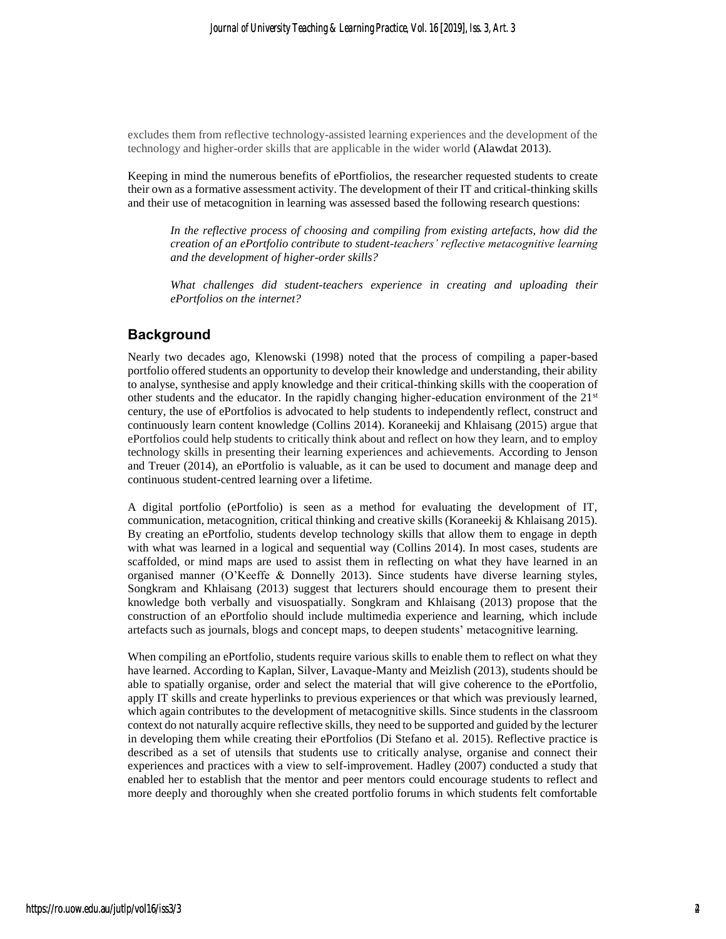excludes them from reflective technology-assisted learning experiences and the development of the technology and higher-order skills that are applicable in the wider world (Alawdat 2013).

Keeping in mind the numerous benefits of ePortfiolios, the researcher requested students to create their own as a formative assessment activity. The development of their IT and critical-thinking skills and their use of metacognition in learning was assessed based the following research questions:

*In the reflective process of choosing and compiling from existing artefacts, how did the creation of an ePortfolio contribute to student-teachers' reflective metacognitive learning and the development of higher-order skills?*

*What challenges did student-teachers experience in creating and uploading their ePortfolios on the internet?* 

#### **Background**

Nearly two decades ago, Klenowski (1998) noted that the process of compiling a paper-based portfolio offered students an opportunity to develop their knowledge and understanding, their ability to analyse, synthesise and apply knowledge and their critical-thinking skills with the cooperation of other students and the educator. In the rapidly changing higher-education environment of the 21st century, the use of ePortfolios is advocated to help students to independently reflect, construct and continuously learn content knowledge (Collins 2014). Koraneekij and Khlaisang (2015) argue that ePortfolios could help students to critically think about and reflect on how they learn, and to employ technology skills in presenting their learning experiences and achievements. According to Jenson and Treuer (2014), an ePortfolio is valuable, as it can be used to document and manage deep and continuous student-centred learning over a lifetime.

A digital portfolio (ePortfolio) is seen as a method for evaluating the development of IT, communication, metacognition, critical thinking and creative skills (Koraneekij & Khlaisang 2015). By creating an ePortfolio, students develop technology skills that allow them to engage in depth with what was learned in a logical and sequential way (Collins 2014). In most cases, students are scaffolded, or mind maps are used to assist them in reflecting on what they have learned in an organised manner (O'Keeffe & Donnelly 2013). Since students have diverse learning styles, Songkram and Khlaisang (2013) suggest that lecturers should encourage them to present their knowledge both verbally and visuospatially. Songkram and Khlaisang (2013) propose that the construction of an ePortfolio should include multimedia experience and learning, which include artefacts such as journals, blogs and concept maps, to deepen students' metacognitive learning.

When compiling an ePortfolio, students require various skills to enable them to reflect on what they have learned. According to Kaplan, Silver, Lavaque-Manty and Meizlish (2013), students should be able to spatially organise, order and select the material that will give coherence to the ePortfolio, apply IT skills and create hyperlinks to previous experiences or that which was previously learned, which again contributes to the development of metacognitive skills. Since students in the classroom context do not naturally acquire reflective skills, they need to be supported and guided by the lecturer in developing them while creating their ePortfolios (Di Stefano et al. 2015). Reflective practice is described as a set of utensils that students use to critically analyse, organise and connect their experiences and practices with a view to self-improvement. Hadley (2007) conducted a study that enabled her to establish that the mentor and peer mentors could encourage students to reflect and more deeply and thoroughly when she created portfolio forums in which students felt comfortable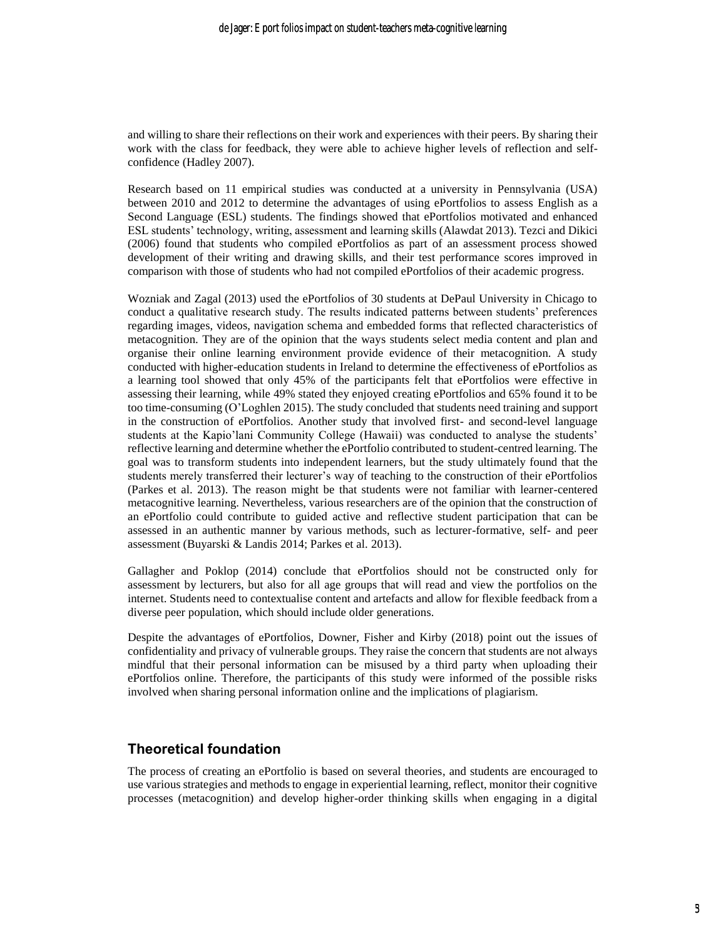and willing to share their reflections on their work and experiences with their peers. By sharing their work with the class for feedback, they were able to achieve higher levels of reflection and selfconfidence (Hadley 2007).

Research based on 11 empirical studies was conducted at a university in Pennsylvania (USA) between 2010 and 2012 to determine the advantages of using ePortfolios to assess English as a Second Language (ESL) students. The findings showed that ePortfolios motivated and enhanced ESL students' technology, writing, assessment and learning skills (Alawdat 2013). Tezci and Dikici (2006) found that students who compiled ePortfolios as part of an assessment process showed development of their writing and drawing skills, and their test performance scores improved in comparison with those of students who had not compiled ePortfolios of their academic progress.

Wozniak and Zagal (2013) used the ePortfolios of 30 students at DePaul University in Chicago to conduct a qualitative research study. The results indicated patterns between students' preferences regarding images, videos, navigation schema and embedded forms that reflected characteristics of metacognition. They are of the opinion that the ways students select media content and plan and organise their online learning environment provide evidence of their metacognition. A study conducted with higher-education students in Ireland to determine the effectiveness of ePortfolios as a learning tool showed that only 45% of the participants felt that ePortfolios were effective in assessing their learning, while 49% stated they enjoyed creating ePortfolios and 65% found it to be too time-consuming (O'Loghlen 2015). The study concluded that students need training and support in the construction of ePortfolios. Another study that involved first- and second-level language students at the Kapio'lani Community College (Hawaii) was conducted to analyse the students' reflective learning and determine whether the ePortfolio contributed to student-centred learning. The goal was to transform students into independent learners, but the study ultimately found that the students merely transferred their lecturer's way of teaching to the construction of their ePortfolios (Parkes et al. 2013). The reason might be that students were not familiar with learner-centered metacognitive learning. Nevertheless, various researchers are of the opinion that the construction of an ePortfolio could contribute to guided active and reflective student participation that can be assessed in an authentic manner by various methods, such as lecturer-formative, self- and peer assessment (Buyarski & Landis 2014; Parkes et al. 2013).

Gallagher and Poklop (2014) conclude that ePortfolios should not be constructed only for assessment by lecturers, but also for all age groups that will read and view the portfolios on the internet. Students need to contextualise content and artefacts and allow for flexible feedback from a diverse peer population, which should include older generations.

Despite the advantages of ePortfolios, Downer, Fisher and Kirby (2018) point out the issues of confidentiality and privacy of vulnerable groups. They raise the concern that students are not always mindful that their personal information can be misused by a third party when uploading their ePortfolios online. Therefore, the participants of this study were informed of the possible risks involved when sharing personal information online and the implications of plagiarism.

#### **Theoretical foundation**

The process of creating an ePortfolio is based on several theories, and students are encouraged to use various strategies and methods to engage in experiential learning, reflect, monitor their cognitive processes (metacognition) and develop higher-order thinking skills when engaging in a digital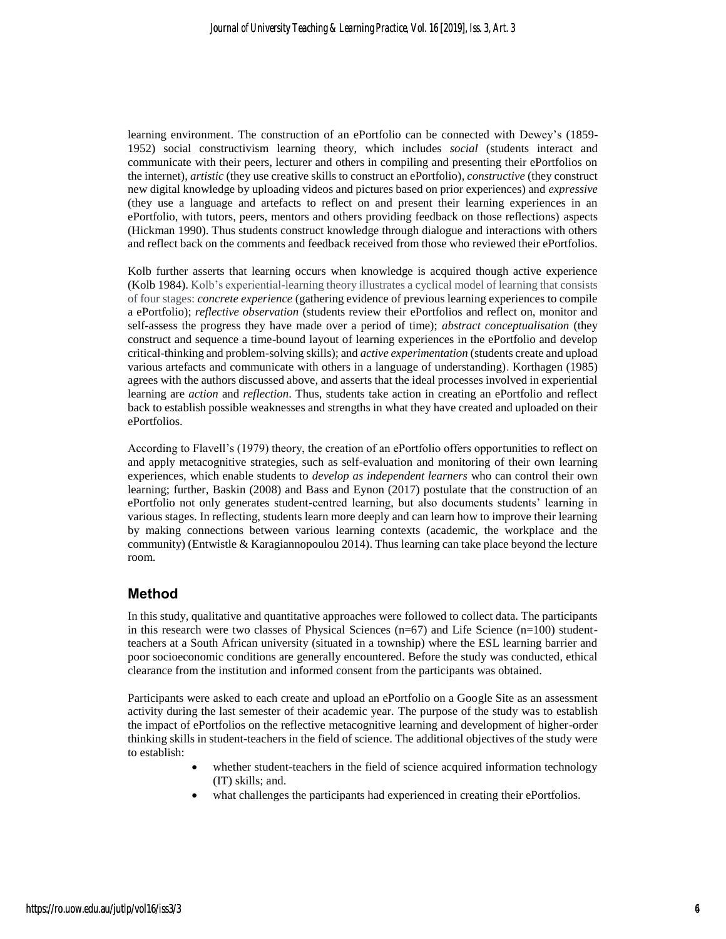learning environment. The construction of an ePortfolio can be connected with Dewey's (1859- 1952) social constructivism learning theory, which includes *social* (students interact and communicate with their peers, lecturer and others in compiling and presenting their ePortfolios on the internet), *artistic* (they use creative skills to construct an ePortfolio), *constructive* (they construct new digital knowledge by uploading videos and pictures based on prior experiences) and *expressive*  (they use a language and artefacts to reflect on and present their learning experiences in an ePortfolio, with tutors, peers, mentors and others providing feedback on those reflections) aspects (Hickman 1990). Thus students construct knowledge through dialogue and interactions with others and reflect back on the comments and feedback received from those who reviewed their ePortfolios.

Kolb further asserts that learning occurs when knowledge is acquired though active experience (Kolb 1984). Kolb's experiential-learning theory illustrates a cyclical model of learning that consists of four stages: *concrete experience* (gathering evidence of previous learning experiences to compile a ePortfolio); *reflective observation* (students review their ePortfolios and reflect on, monitor and self-assess the progress they have made over a period of time); *abstract conceptualisation* (they construct and sequence a time-bound layout of learning experiences in the ePortfolio and develop critical-thinking and problem-solving skills); and *active experimentation* (students create and upload various artefacts and communicate with others in a language of understanding). Korthagen (1985) agrees with the authors discussed above, and asserts that the ideal processes involved in experiential learning are *action* and *reflection*. Thus, students take action in creating an ePortfolio and reflect back to establish possible weaknesses and strengths in what they have created and uploaded on their ePortfolios.

According to Flavell's (1979) theory, the creation of an ePortfolio offers opportunities to reflect on and apply metacognitive strategies, such as self-evaluation and monitoring of their own learning experiences, which enable students to *develop as independent learners* who can control their own learning; further, Baskin (2008) and Bass and Eynon (2017) postulate that the construction of an ePortfolio not only generates student-centred learning, but also documents students' learning in various stages. In reflecting, students learn more deeply and can learn how to improve their learning by making connections between various learning contexts (academic, the workplace and the community) (Entwistle & Karagiannopoulou 2014). Thus learning can take place beyond the lecture room.

#### **Method**

In this study, qualitative and quantitative approaches were followed to collect data. The participants in this research were two classes of Physical Sciences ( $n=67$ ) and Life Science ( $n=100$ ) studentteachers at a South African university (situated in a township) where the ESL learning barrier and poor socioeconomic conditions are generally encountered. Before the study was conducted, ethical clearance from the institution and informed consent from the participants was obtained.

Participants were asked to each create and upload an ePortfolio on a Google Site as an assessment activity during the last semester of their academic year. The purpose of the study was to establish the impact of ePortfolios on the reflective metacognitive learning and development of higher-order thinking skills in student-teachers in the field of science. The additional objectives of the study were to establish:

- whether student-teachers in the field of science acquired information technology (IT) skills; and.
- what challenges the participants had experienced in creating their ePortfolios.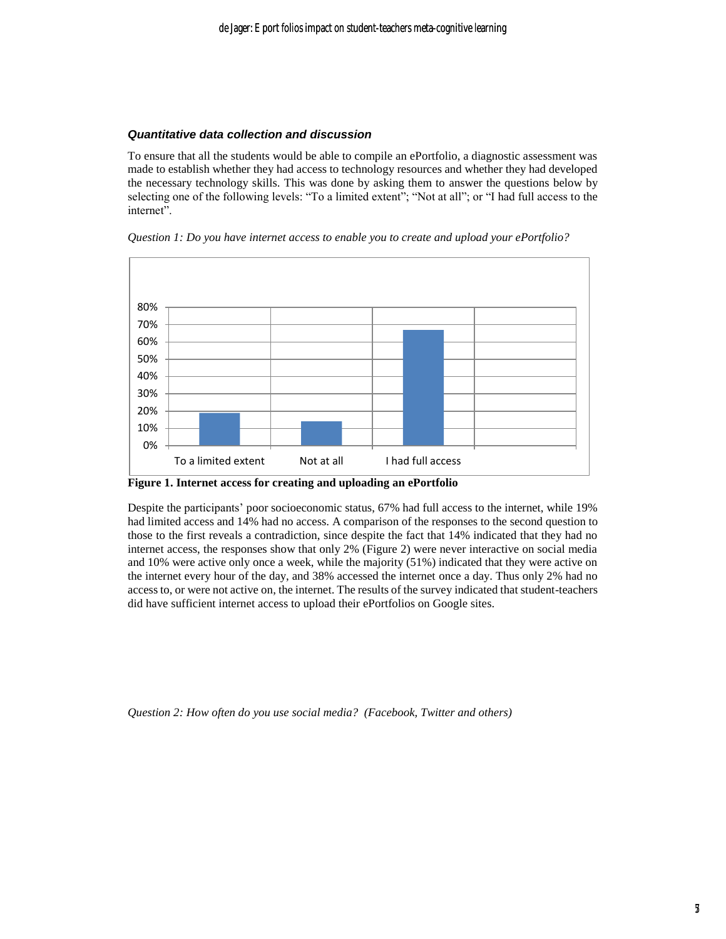#### *Quantitative data collection and discussion*

To ensure that all the students would be able to compile an ePortfolio, a diagnostic assessment was made to establish whether they had access to technology resources and whether they had developed the necessary technology skills. This was done by asking them to answer the questions below by selecting one of the following levels: "To a limited extent"; "Not at all"; or "I had full access to the internet".





**Figure 1. Internet access for creating and uploading an ePortfolio**

Despite the participants' poor socioeconomic status, 67% had full access to the internet, while 19% had limited access and 14% had no access. A comparison of the responses to the second question to those to the first reveals a contradiction, since despite the fact that 14% indicated that they had no internet access, the responses show that only 2% (Figure 2) were never interactive on social media and 10% were active only once a week, while the majority (51%) indicated that they were active on the internet every hour of the day, and 38% accessed the internet once a day. Thus only 2% had no access to, or were not active on, the internet. The results of the survey indicated that student-teachers did have sufficient internet access to upload their ePortfolios on Google sites.

*Question 2: How often do you use social media? (Facebook, Twitter and others)*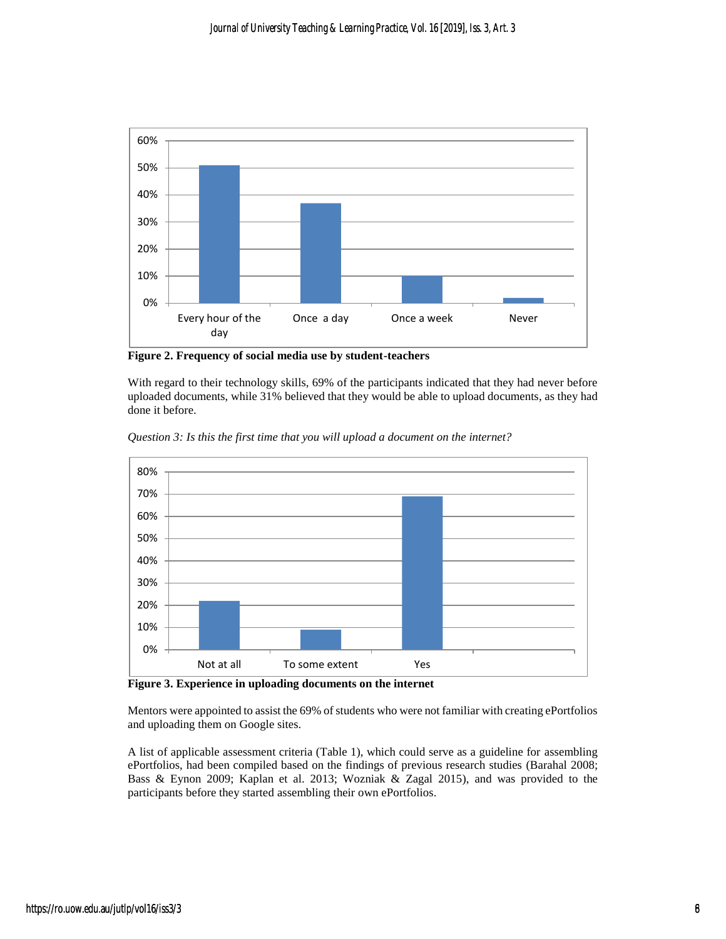

**Figure 2. Frequency of social media use by student-teachers**

With regard to their technology skills, 69% of the participants indicated that they had never before uploaded documents, while 31% believed that they would be able to upload documents, as they had done it before.



*Question 3: Is this the first time that you will upload a document on the internet?*

**Figure 3. Experience in uploading documents on the internet**

Mentors were appointed to assist the 69% of students who were not familiar with creating ePortfolios and uploading them on Google sites.

A list of applicable assessment criteria (Table 1), which could serve as a guideline for assembling ePortfolios, had been compiled based on the findings of previous research studies (Barahal 2008; Bass & Eynon 2009; Kaplan et al. 2013; Wozniak & Zagal 2015), and was provided to the participants before they started assembling their own ePortfolios.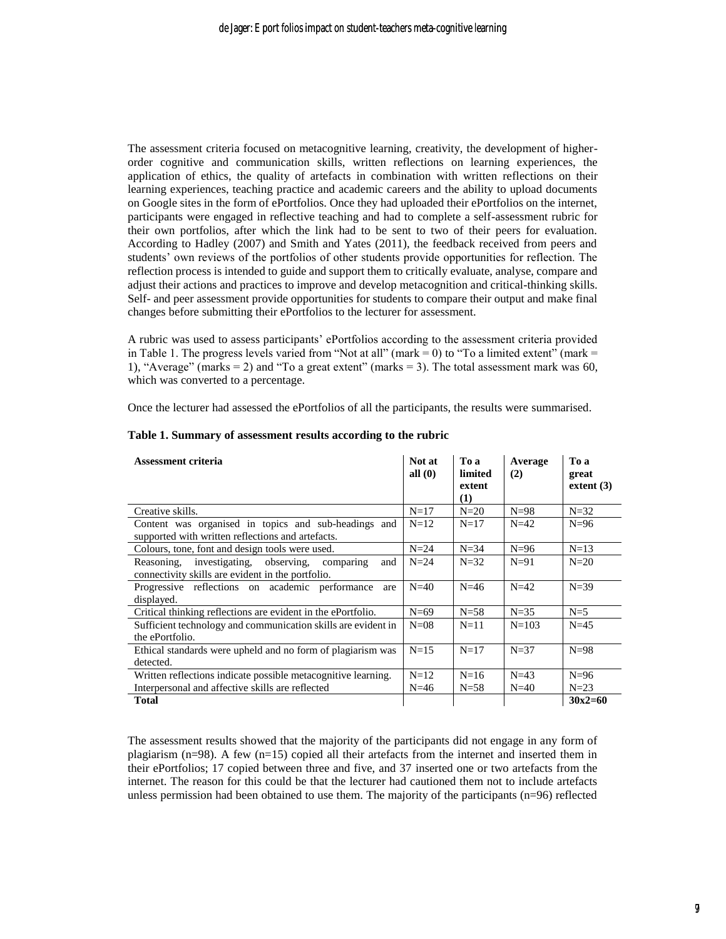The assessment criteria focused on metacognitive learning, creativity, the development of higherorder cognitive and communication skills, written reflections on learning experiences, the application of ethics, the quality of artefacts in combination with written reflections on their learning experiences, teaching practice and academic careers and the ability to upload documents on Google sites in the form of ePortfolios. Once they had uploaded their ePortfolios on the internet, participants were engaged in reflective teaching and had to complete a self-assessment rubric for their own portfolios, after which the link had to be sent to two of their peers for evaluation. According to Hadley (2007) and Smith and Yates (2011), the feedback received from peers and students' own reviews of the portfolios of other students provide opportunities for reflection. The reflection process is intended to guide and support them to critically evaluate, analyse, compare and adjust their actions and practices to improve and develop metacognition and critical-thinking skills. Self- and peer assessment provide opportunities for students to compare their output and make final changes before submitting their ePortfolios to the lecturer for assessment.

A rubric was used to assess participants' ePortfolios according to the assessment criteria provided in Table 1. The progress levels varied from "Not at all" (mark  $= 0$ ) to "To a limited extent" (mark  $=$ 1), "Average" (marks = 2) and "To a great extent" (marks = 3). The total assessment mark was 60, which was converted to a percentage.

Once the lecturer had assessed the ePortfolios of all the participants, the results were summarised.

| Assessment criteria                                                                                              | Not at<br>all $(0)$ | To a<br>limited<br>extent<br>(1) | Average<br>(2) | To a<br>great<br>extent $(3)$ |
|------------------------------------------------------------------------------------------------------------------|---------------------|----------------------------------|----------------|-------------------------------|
| Creative skills.                                                                                                 | $N=17$              | $N=20$                           | $N=98$         | $N=32$                        |
| Content was organised in topics and sub-headings and<br>supported with written reflections and artefacts.        | $N=12$              | $N=17$                           | $N=42$         | $N=96$                        |
| Colours, tone, font and design tools were used.                                                                  | $N=24$              | $N=34$                           | $N=96$         | $N=13$                        |
| investigating, observing,<br>Reasoning.<br>comparing<br>and<br>connectivity skills are evident in the portfolio. | $N=24$              | $N=32$                           | $N=91$         | $N=20$                        |
| Progressive reflections on academic performance<br>are<br>displayed.                                             | $N=40$              | $N=46$                           | $N=42$         | $N=39$                        |
| Critical thinking reflections are evident in the ePortfolio.                                                     | $N=69$              | $N=58$                           | $N=35$         | $N=5$                         |
| Sufficient technology and communication skills are evident in<br>the ePortfolio.                                 | $N=08$              | $N=11$                           | $N = 103$      | $N=45$                        |
| Ethical standards were upheld and no form of plagiarism was<br>detected.                                         | $N=15$              | $N=17$                           | $N=37$         | $N=98$                        |
| Written reflections indicate possible metacognitive learning.                                                    | $N=12$              | $N=16$                           | $N=43$         | $N=96$                        |
| Interpersonal and affective skills are reflected                                                                 | $N=46$              | $N=58$                           | $N=40$         | $N=23$                        |
| Total                                                                                                            |                     |                                  |                | $30x2=60$                     |

#### **Table 1. Summary of assessment results according to the rubric**

The assessment results showed that the majority of the participants did not engage in any form of plagiarism  $(n=98)$ . A few  $(n=15)$  copied all their artefacts from the internet and inserted them in their ePortfolios; 17 copied between three and five, and 37 inserted one or two artefacts from the internet. The reason for this could be that the lecturer had cautioned them not to include artefacts unless permission had been obtained to use them. The majority of the participants (n=96) reflected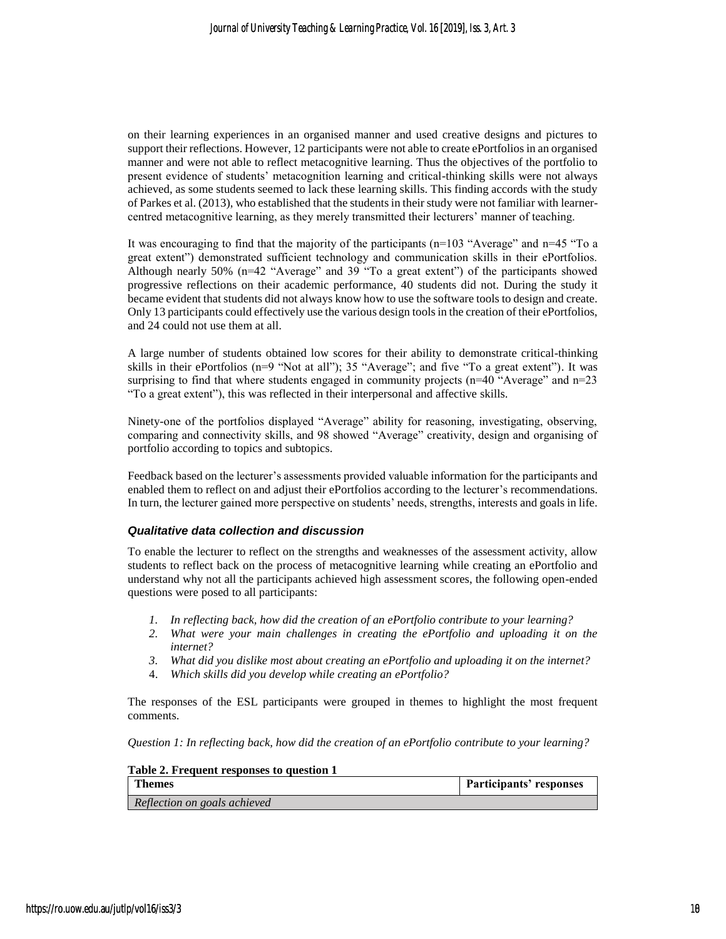on their learning experiences in an organised manner and used creative designs and pictures to support their reflections. However, 12 participants were not able to create ePortfolios in an organised manner and were not able to reflect metacognitive learning. Thus the objectives of the portfolio to present evidence of students' metacognition learning and critical-thinking skills were not always achieved, as some students seemed to lack these learning skills. This finding accords with the study of Parkes et al. (2013), who established that the students in their study were not familiar with learnercentred metacognitive learning, as they merely transmitted their lecturers' manner of teaching.

It was encouraging to find that the majority of the participants ( $n=103$  "Average" and  $n=45$  "To a great extent") demonstrated sufficient technology and communication skills in their ePortfolios. Although nearly  $50\%$  (n=42 "Average" and 39 "To a great extent") of the participants showed progressive reflections on their academic performance, 40 students did not. During the study it became evident that students did not always know how to use the software tools to design and create. Only 13 participants could effectively use the various design tools in the creation of their ePortfolios, and 24 could not use them at all.

A large number of students obtained low scores for their ability to demonstrate critical-thinking skills in their ePortfolios (n=9 "Not at all"); 35 "Average"; and five "To a great extent"). It was surprising to find that where students engaged in community projects (n=40 "Average" and n=23 "To a great extent"), this was reflected in their interpersonal and affective skills.

Ninety-one of the portfolios displayed "Average" ability for reasoning, investigating, observing, comparing and connectivity skills, and 98 showed "Average" creativity, design and organising of portfolio according to topics and subtopics.

Feedback based on the lecturer's assessments provided valuable information for the participants and enabled them to reflect on and adjust their ePortfolios according to the lecturer's recommendations. In turn, the lecturer gained more perspective on students' needs, strengths, interests and goals in life.

#### *Qualitative data collection and discussion*

To enable the lecturer to reflect on the strengths and weaknesses of the assessment activity, allow students to reflect back on the process of metacognitive learning while creating an ePortfolio and understand why not all the participants achieved high assessment scores, the following open-ended questions were posed to all participants:

- *1. In reflecting back, how did the creation of an ePortfolio contribute to your learning?*
- *2. What were your main challenges in creating the ePortfolio and uploading it on the internet?*
- *3. What did you dislike most about creating an ePortfolio and uploading it on the internet?*
- 4. *Which skills did you develop while creating an ePortfolio?*

The responses of the ESL participants were grouped in themes to highlight the most frequent comments.

*Question 1: In reflecting back, how did the creation of an ePortfolio contribute to your learning?*

| Table 2. Frequent responses to question 1 |                         |
|-------------------------------------------|-------------------------|
| <b>Themes</b>                             | Participants' responses |
| Reflection on goals achieved              |                         |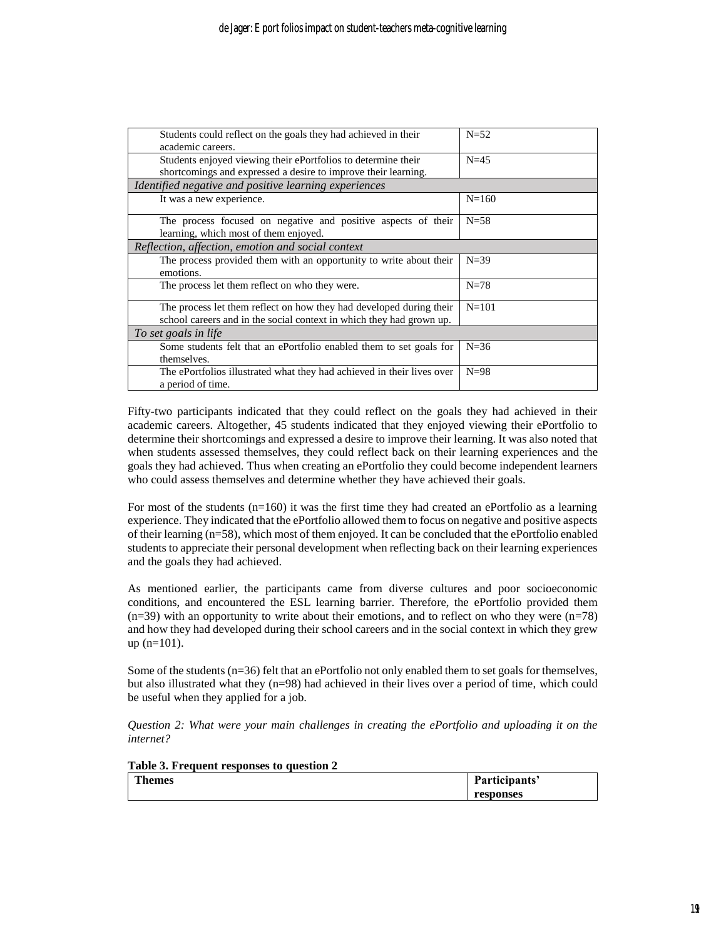| Students could reflect on the goals they had achieved in their         | $N=52$    |
|------------------------------------------------------------------------|-----------|
| academic careers.                                                      |           |
| Students enjoyed viewing their ePortfolios to determine their          | $N=45$    |
| shortcomings and expressed a desire to improve their learning.         |           |
| Identified negative and positive learning experiences                  |           |
| It was a new experience.                                               | $N = 160$ |
| The process focused on negative and positive aspects of their          | $N=58$    |
| learning, which most of them enjoyed.                                  |           |
| Reflection, affection, emotion and social context                      |           |
| The process provided them with an opportunity to write about their     | $N=39$    |
| emotions.                                                              |           |
| The process let them reflect on who they were.                         | $N = 78$  |
| The process let them reflect on how they had developed during their    | $N = 101$ |
| school careers and in the social context in which they had grown up.   |           |
| To set goals in life                                                   |           |
| Some students felt that an ePortfolio enabled them to set goals for    | $N = 36$  |
| themselves.                                                            |           |
| The ePortfolios illustrated what they had achieved in their lives over | $N=98$    |
| a period of time.                                                      |           |

Fifty-two participants indicated that they could reflect on the goals they had achieved in their academic careers. Altogether, 45 students indicated that they enjoyed viewing their ePortfolio to determine their shortcomings and expressed a desire to improve their learning. It was also noted that when students assessed themselves, they could reflect back on their learning experiences and the goals they had achieved. Thus when creating an ePortfolio they could become independent learners who could assess themselves and determine whether they have achieved their goals.

For most of the students  $(n=160)$  it was the first time they had created an ePortfolio as a learning experience. They indicated that the ePortfolio allowed them to focus on negative and positive aspects of their learning (n=58), which most of them enjoyed. It can be concluded that the ePortfolio enabled students to appreciate their personal development when reflecting back on their learning experiences and the goals they had achieved.

As mentioned earlier, the participants came from diverse cultures and poor socioeconomic conditions, and encountered the ESL learning barrier. Therefore, the ePortfolio provided them  $(n=39)$  with an opportunity to write about their emotions, and to reflect on who they were  $(n=78)$ and how they had developed during their school careers and in the social context in which they grew up (n=101).

Some of the students (n=36) felt that an ePortfolio not only enabled them to set goals for themselves, but also illustrated what they (n=98) had achieved in their lives over a period of time, which could be useful when they applied for a job.

*Question 2: What were your main challenges in creating the ePortfolio and uploading it on the internet?*

| Table 3. Frequent responses to question 2 |               |
|-------------------------------------------|---------------|
| <b>Themes</b>                             | Participants' |
|                                           | responses     |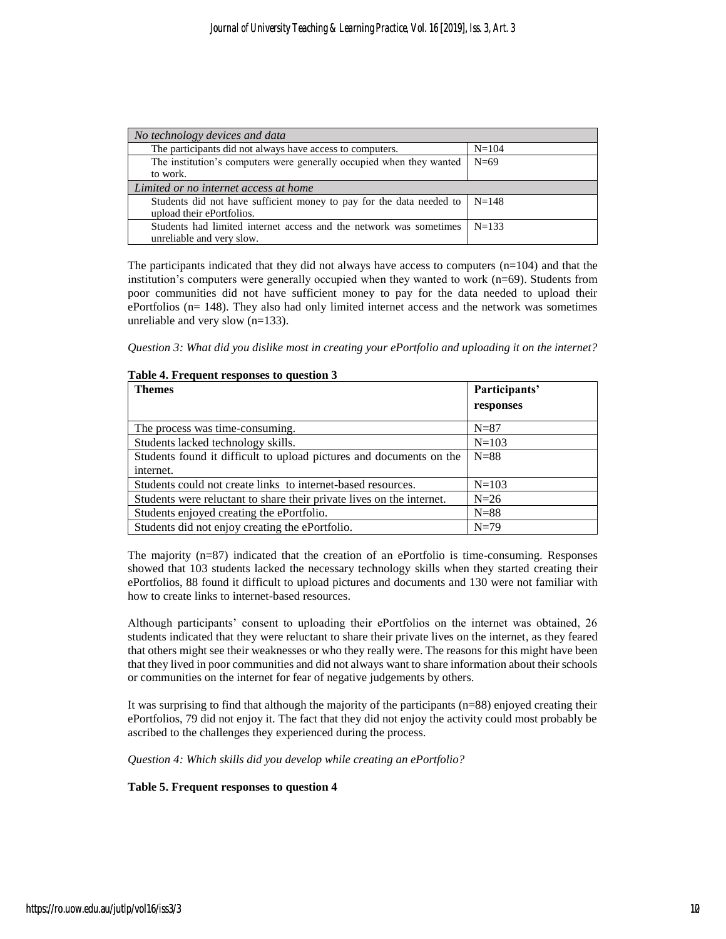| No technology devices and data                                       |           |
|----------------------------------------------------------------------|-----------|
| The participants did not always have access to computers.            | $N = 104$ |
| The institution's computers were generally occupied when they wanted | $N=69$    |
| to work.                                                             |           |
| Limited or no internet access at home                                |           |
| Students did not have sufficient money to pay for the data needed to | $N=148$   |
| upload their ePortfolios.                                            |           |
| Students had limited internet access and the network was sometimes   | $N = 133$ |
| unreliable and very slow.                                            |           |

The participants indicated that they did not always have access to computers  $(n=104)$  and that the institution's computers were generally occupied when they wanted to work (n=69). Students from poor communities did not have sufficient money to pay for the data needed to upload their ePortfolios (n= 148). They also had only limited internet access and the network was sometimes unreliable and very slow (n=133).

*Question 3: What did you dislike most in creating your ePortfolio and uploading it on the internet?*

| <b>Themes</b>                                                         | Participants' |
|-----------------------------------------------------------------------|---------------|
|                                                                       | responses     |
| The process was time-consuming.                                       | $N = 87$      |
| Students lacked technology skills.                                    | $N = 103$     |
| Students found it difficult to upload pictures and documents on the   | $N=88$        |
| internet.                                                             |               |
| Students could not create links to internet-based resources.          | $N=103$       |
| Students were reluctant to share their private lives on the internet. | $N=26$        |
| Students enjoyed creating the ePortfolio.                             | $N = 88$      |
| Students did not enjoy creating the ePortfolio.                       | $N=79$        |

#### **Table 4. Frequent responses to question 3**

The majority  $(n=87)$  indicated that the creation of an ePortfolio is time-consuming. Responses showed that 103 students lacked the necessary technology skills when they started creating their ePortfolios, 88 found it difficult to upload pictures and documents and 130 were not familiar with how to create links to internet-based resources.

Although participants' consent to uploading their ePortfolios on the internet was obtained, 26 students indicated that they were reluctant to share their private lives on the internet, as they feared that others might see their weaknesses or who they really were. The reasons for this might have been that they lived in poor communities and did not always want to share information about their schools or communities on the internet for fear of negative judgements by others.

It was surprising to find that although the majority of the participants (n=88) enjoyed creating their ePortfolios, 79 did not enjoy it. The fact that they did not enjoy the activity could most probably be ascribed to the challenges they experienced during the process.

*Question 4: Which skills did you develop while creating an ePortfolio?*

#### **Table 5. Frequent responses to question 4**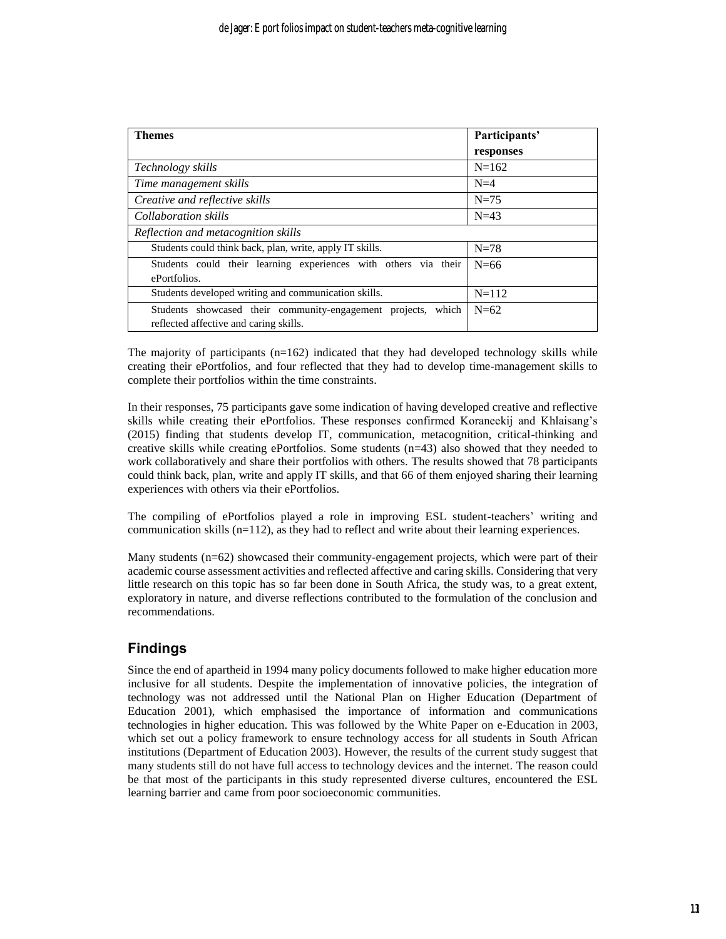| Themes                                                           | Participants' |
|------------------------------------------------------------------|---------------|
|                                                                  | responses     |
| Technology skills                                                | $N=162$       |
| Time management skills                                           | $N=4$         |
| Creative and reflective skills                                   | $N=75$        |
| Collaboration skills                                             | $N=43$        |
| Reflection and metacognition skills                              |               |
| Students could think back, plan, write, apply IT skills.         | $N=78$        |
| Students could their learning experiences with others via their  | $N=66$        |
| ePortfolios.                                                     |               |
| Students developed writing and communication skills.             | $N=112$       |
| Students showcased their community-engagement projects,<br>which | $N=62$        |
| reflected affective and caring skills.                           |               |

The majority of participants  $(n=162)$  indicated that they had developed technology skills while creating their ePortfolios, and four reflected that they had to develop time-management skills to complete their portfolios within the time constraints.

In their responses, 75 participants gave some indication of having developed creative and reflective skills while creating their ePortfolios. These responses confirmed Koraneekij and Khlaisang's (2015) finding that students develop IT, communication, metacognition, critical-thinking and creative skills while creating ePortfolios. Some students  $(n=43)$  also showed that they needed to work collaboratively and share their portfolios with others. The results showed that 78 participants could think back, plan, write and apply IT skills, and that 66 of them enjoyed sharing their learning experiences with others via their ePortfolios.

The compiling of ePortfolios played a role in improving ESL student-teachers' writing and communication skills (n=112), as they had to reflect and write about their learning experiences.

Many students (n=62) showcased their community-engagement projects, which were part of their academic course assessment activities and reflected affective and caring skills. Considering that very little research on this topic has so far been done in South Africa, the study was, to a great extent, exploratory in nature, and diverse reflections contributed to the formulation of the conclusion and recommendations.

## **Findings**

Since the end of apartheid in 1994 many policy documents followed to make higher education more inclusive for all students. Despite the implementation of innovative policies, the integration of technology was not addressed until the National Plan on Higher Education (Department of Education 2001), which emphasised the importance of information and communications technologies in higher education. This was followed by the White Paper on e-Education in 2003, which set out a policy framework to ensure technology access for all students in South African institutions (Department of Education 2003). However, the results of the current study suggest that many students still do not have full access to technology devices and the internet. The reason could be that most of the participants in this study represented diverse cultures, encountered the ESL learning barrier and came from poor socioeconomic communities.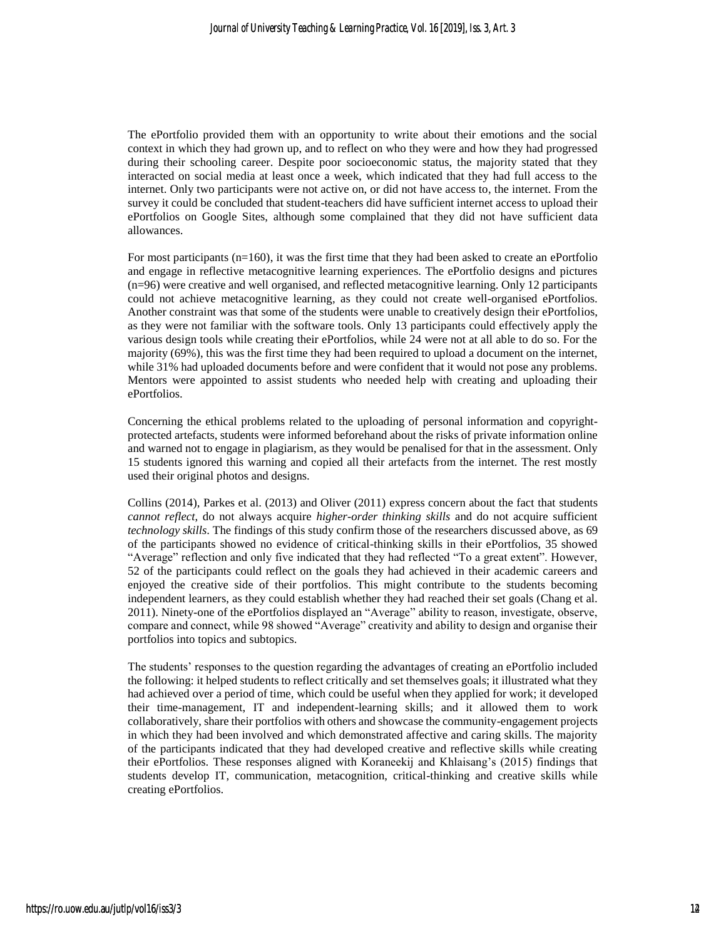The ePortfolio provided them with an opportunity to write about their emotions and the social context in which they had grown up, and to reflect on who they were and how they had progressed during their schooling career. Despite poor socioeconomic status, the majority stated that they interacted on social media at least once a week, which indicated that they had full access to the internet. Only two participants were not active on, or did not have access to, the internet. From the survey it could be concluded that student-teachers did have sufficient internet access to upload their ePortfolios on Google Sites, although some complained that they did not have sufficient data allowances.

For most participants (n=160), it was the first time that they had been asked to create an ePortfolio and engage in reflective metacognitive learning experiences. The ePortfolio designs and pictures (n=96) were creative and well organised, and reflected metacognitive learning. Only 12 participants could not achieve metacognitive learning, as they could not create well-organised ePortfolios. Another constraint was that some of the students were unable to creatively design their ePortfolios, as they were not familiar with the software tools. Only 13 participants could effectively apply the various design tools while creating their ePortfolios, while 24 were not at all able to do so. For the majority (69%), this was the first time they had been required to upload a document on the internet, while 31% had uploaded documents before and were confident that it would not pose any problems. Mentors were appointed to assist students who needed help with creating and uploading their ePortfolios.

Concerning the ethical problems related to the uploading of personal information and copyrightprotected artefacts, students were informed beforehand about the risks of private information online and warned not to engage in plagiarism, as they would be penalised for that in the assessment. Only 15 students ignored this warning and copied all their artefacts from the internet. The rest mostly used their original photos and designs.

Collins (2014), Parkes et al. (2013) and Oliver (2011) express concern about the fact that students *cannot reflect*, do not always acquire *higher-order thinking skills* and do not acquire sufficient *technology skills*. The findings of this study confirm those of the researchers discussed above, as 69 of the participants showed no evidence of critical-thinking skills in their ePortfolios, 35 showed "Average" reflection and only five indicated that they had reflected "To a great extent". However, 52 of the participants could reflect on the goals they had achieved in their academic careers and enjoyed the creative side of their portfolios. This might contribute to the students becoming independent learners, as they could establish whether they had reached their set goals (Chang et al. 2011). Ninety-one of the ePortfolios displayed an "Average" ability to reason, investigate, observe, compare and connect, while 98 showed "Average" creativity and ability to design and organise their portfolios into topics and subtopics.

The students' responses to the question regarding the advantages of creating an ePortfolio included the following: it helped students to reflect critically and set themselves goals; it illustrated what they had achieved over a period of time, which could be useful when they applied for work; it developed their time-management, IT and independent-learning skills; and it allowed them to work collaboratively, share their portfolios with others and showcase the community-engagement projects in which they had been involved and which demonstrated affective and caring skills. The majority of the participants indicated that they had developed creative and reflective skills while creating their ePortfolios. These responses aligned with Koraneekij and Khlaisang's (2015) findings that students develop IT, communication, metacognition, critical-thinking and creative skills while creating ePortfolios.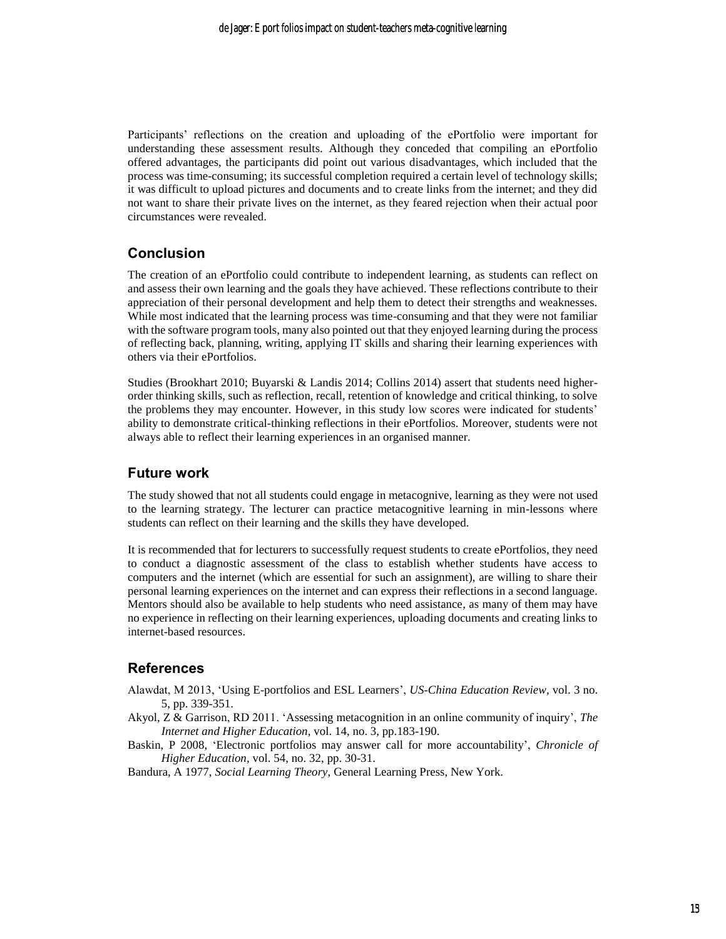Participants' reflections on the creation and uploading of the ePortfolio were important for understanding these assessment results. Although they conceded that compiling an ePortfolio offered advantages, the participants did point out various disadvantages, which included that the process was time-consuming; its successful completion required a certain level of technology skills; it was difficult to upload pictures and documents and to create links from the internet; and they did not want to share their private lives on the internet, as they feared rejection when their actual poor circumstances were revealed.

### **Conclusion**

The creation of an ePortfolio could contribute to independent learning, as students can reflect on and assess their own learning and the goals they have achieved. These reflections contribute to their appreciation of their personal development and help them to detect their strengths and weaknesses. While most indicated that the learning process was time-consuming and that they were not familiar with the software program tools, many also pointed out that they enjoyed learning during the process of reflecting back, planning, writing, applying IT skills and sharing their learning experiences with others via their ePortfolios.

Studies (Brookhart 2010; Buyarski & Landis 2014; Collins 2014) assert that students need higherorder thinking skills, such as reflection, recall, retention of knowledge and critical thinking, to solve the problems they may encounter. However, in this study low scores were indicated for students' ability to demonstrate critical-thinking reflections in their ePortfolios. Moreover, students were not always able to reflect their learning experiences in an organised manner.

#### **Future work**

The study showed that not all students could engage in metacognive, learning as they were not used to the learning strategy. The lecturer can practice metacognitive learning in min-lessons where students can reflect on their learning and the skills they have developed.

It is recommended that for lecturers to successfully request students to create ePortfolios, they need to conduct a diagnostic assessment of the class to establish whether students have access to computers and the internet (which are essential for such an assignment), are willing to share their personal learning experiences on the internet and can express their reflections in a second language. Mentors should also be available to help students who need assistance, as many of them may have no experience in reflecting on their learning experiences, uploading documents and creating links to internet-based resources.

### **References**

- Alawdat, M 2013, 'Using E-portfolios and ESL Learners', *US-China Education Review,* vol. 3 no. 5, pp. 339-351.
- Akyol, Z & Garrison, RD 2011. 'Assessing metacognition in an online community of inquiry', *The Internet and Higher Education*, vol. 14, no. 3, pp.183-190.
- Baskin, P 2008, 'Electronic portfolios may answer call for more accountability', *Chronicle of Higher Education,* vol. 54, no. 32, pp. 30-31.

Bandura, A 1977, *Social Learning Theory*, General Learning Press, New York.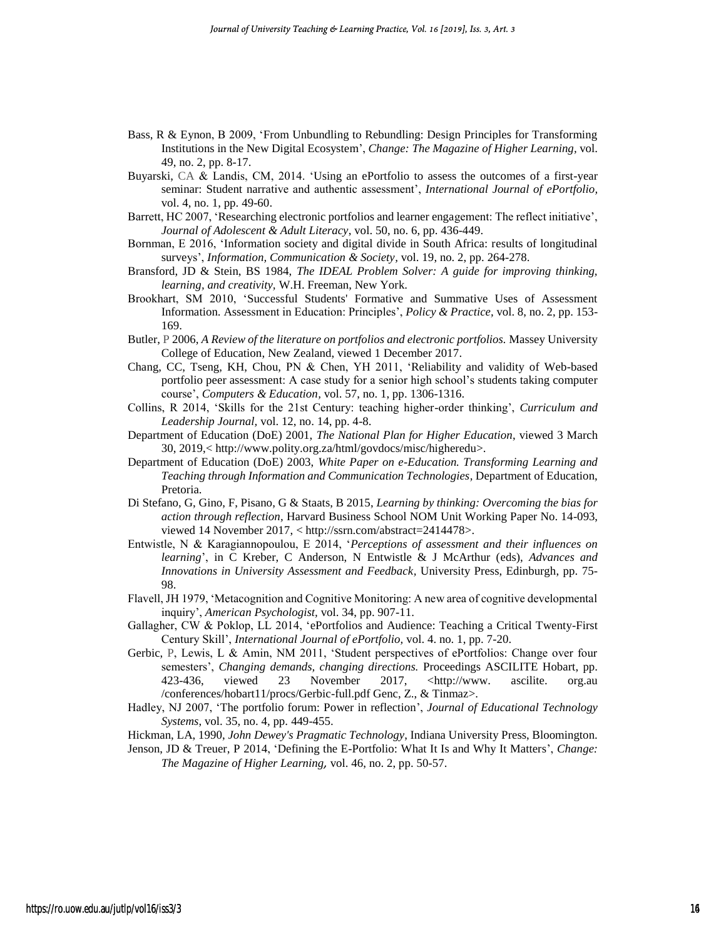- [Bass,](http://www.tandfonline.com/author/Bass%2C+Randy) R & [Eynon,](http://www.tandfonline.com/author/Eynon%2C+Bret) B 2009, 'From Unbundling to Rebundling: Design Principles for Transforming Institutions in the New Digital Ecosystem', *Change: The Magazine of Higher Learning,* vol. 49, no. 2, pp. 8-17.
- Buyarski, CA & Landis, CM, 2014. 'Using an ePortfolio to assess the outcomes of a first-year seminar: Student narrative and authentic assessment', *International Journal of ePortfolio,* vol. 4, no. 1, pp. 49-60.
- Barrett, HC 2007, 'Researching electronic portfolios and learner engagement: The reflect initiative', *Journal of Adolescent & Adult Literacy*, vol. 50, no. 6, pp. 436-449.
- Bornman, E 2016, 'Information society and digital divide in South Africa: results of longitudinal surveys', *Information, Communication & Society,* vol. 19, no. 2, pp. 264-278.
- Bransford, JD & Stein, BS 1984, *The IDEAL Problem Solver: A guide for improving thinking, learning, and creativity,* W.H. Freeman, New York.
- Brookhart, SM 2010, 'Successful Students' Formative and Summative Uses of Assessment Information. Assessment in Education: Principles', *Policy & Practice,* vol. 8, no. 2, pp. 153- 169.
- Butler, P 2006, *A Review of the literature on portfolios and electronic portfolios.* Massey University College of Education, New Zealand, viewed 1 December 2017.
- Chang, CC, Tseng, KH, Chou, PN & Chen, YH 2011, 'Reliability and validity of Web-based portfolio peer assessment: A case study for a senior high school's students taking computer course', *Computers & Education,* vol. 57, no. 1, pp. 1306-1316.
- Collins, R 2014, 'Skills for the 21st Century: teaching higher-order thinking', *Curriculum and Leadership Journal,* vol. 12, no. 14, pp. 4-8.
- Department of Education (DoE) 2001, *The National Plan for Higher Education*, viewed 3 March 30, 2019,[< http://www.polity.org.za/html/govdocs/misc/higheredu>](http://www.polity.org.za/html/govdocs/misc/higheredu).
- Department of Education (DoE) 2003, *White Paper on e-Education. Transforming Learning and Teaching through Information and Communication Technologies,* Department of Education, Pretoria.
- Di Stefano, G, Gino, F, Pisano, G & Staats, B 2015, *Learning by thinking: Overcoming the bias for action through reflection,* Harvard Business School NOM Unit Working Paper No. 14-093, viewed 14 November 2017, < [http://ssrn.com/abstract=2414478>](http://ssrn.com/abstract=2414478).
- Entwistle, N & Karagiannopoulou, E 2014, '*Perceptions of assessment and their influences on learning*', in C Kreber, C Anderson, N Entwistle & J McArthur (eds), *Advances and Innovations in University Assessment and Feedback,* University Press, Edinburgh, pp. 75- 98.
- Flavell, JH 1979, 'Metacognition and Cognitive Monitoring: A new area of cognitive developmental inquiry', *American Psychologist,* vol. 34, pp. 907-11.
- Gallagher, CW & Poklop, LL 2014, 'ePortfolios and Audience: Teaching a Critical Twenty-First Century Skill', *International Journal of ePortfolio,* vol. 4. no. 1, pp. 7-20.
- Gerbic, P, Lewis, L & Amin, NM 2011, 'Student perspectives of ePortfolios: Change over four semesters', *Changing demands, changing directions.* Proceedings ASCILITE Hobart, pp. 423-436, viewed 23 November 2017, [<http://www.](http://www/) ascilite. org.au /conferences/hobart11/procs/Gerbic-full.pdf Genc, Z., & Tinmaz>.
- Hadley, NJ 2007, 'The portfolio forum: Power in reflection', *Journal of Educational Technology Systems*, vol. 35, no. 4, pp. 449-455.
- Hickman, LA, 1990, *John Dewey's Pragmatic Technology*, Indiana University Press, Bloomington.
- Jenson, JD & Treuer, P 2014, ['Defining the E-Portfolio: What It Is and Why It Matters'](http://www.tandfonline.com/doi/full/10.1080/00091383.2014.897192), *[Change:](http://www.tandfonline.com/toc/vchn20/46/2)  [The Magazine of Higher Learning](http://www.tandfonline.com/toc/vchn20/46/2),* vol. 46, no. 2, pp. 50-57.